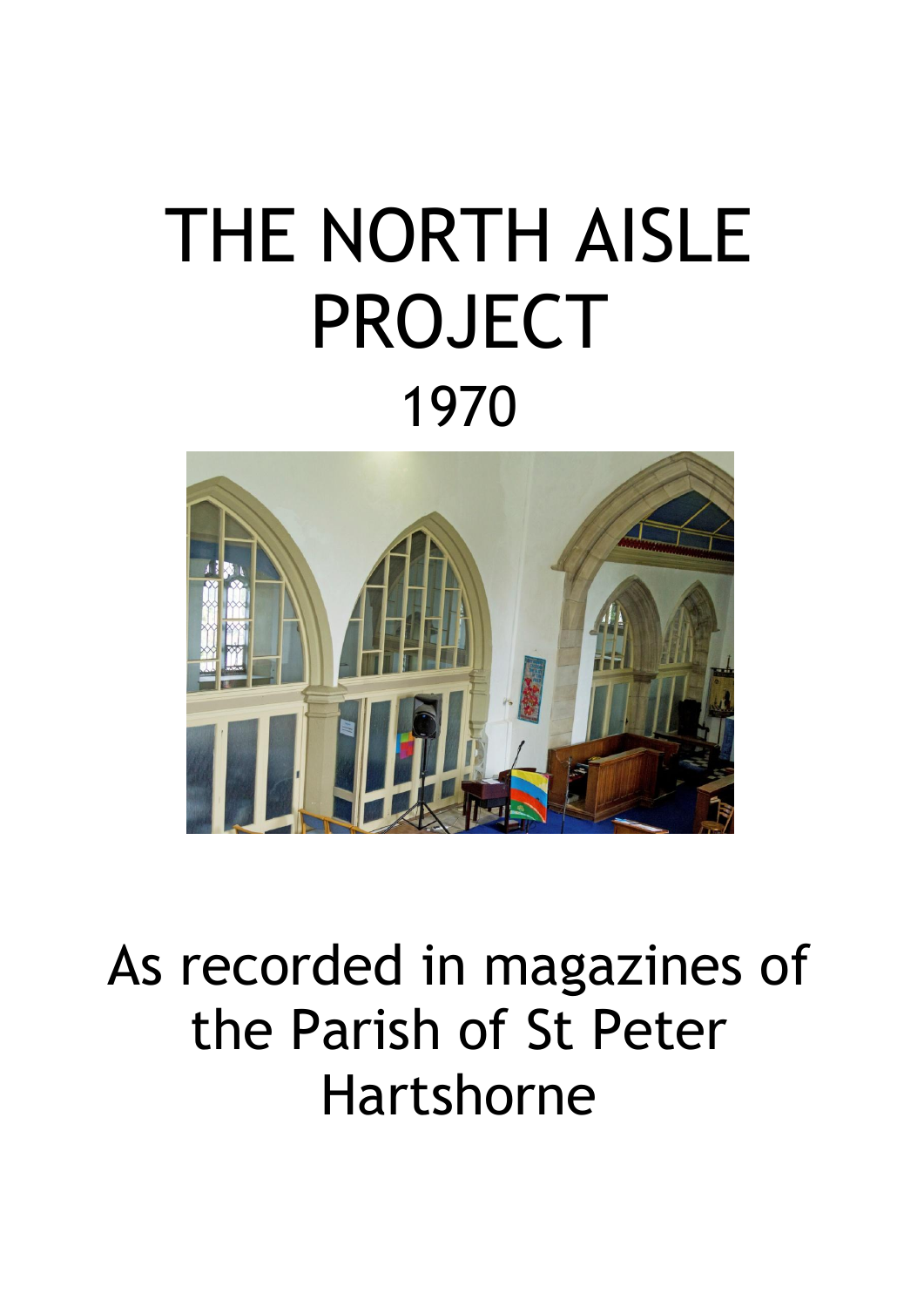# THE NORTH AISLE PROJECT 1970



## As recorded in magazines of the Parish of St Peter Hartshorne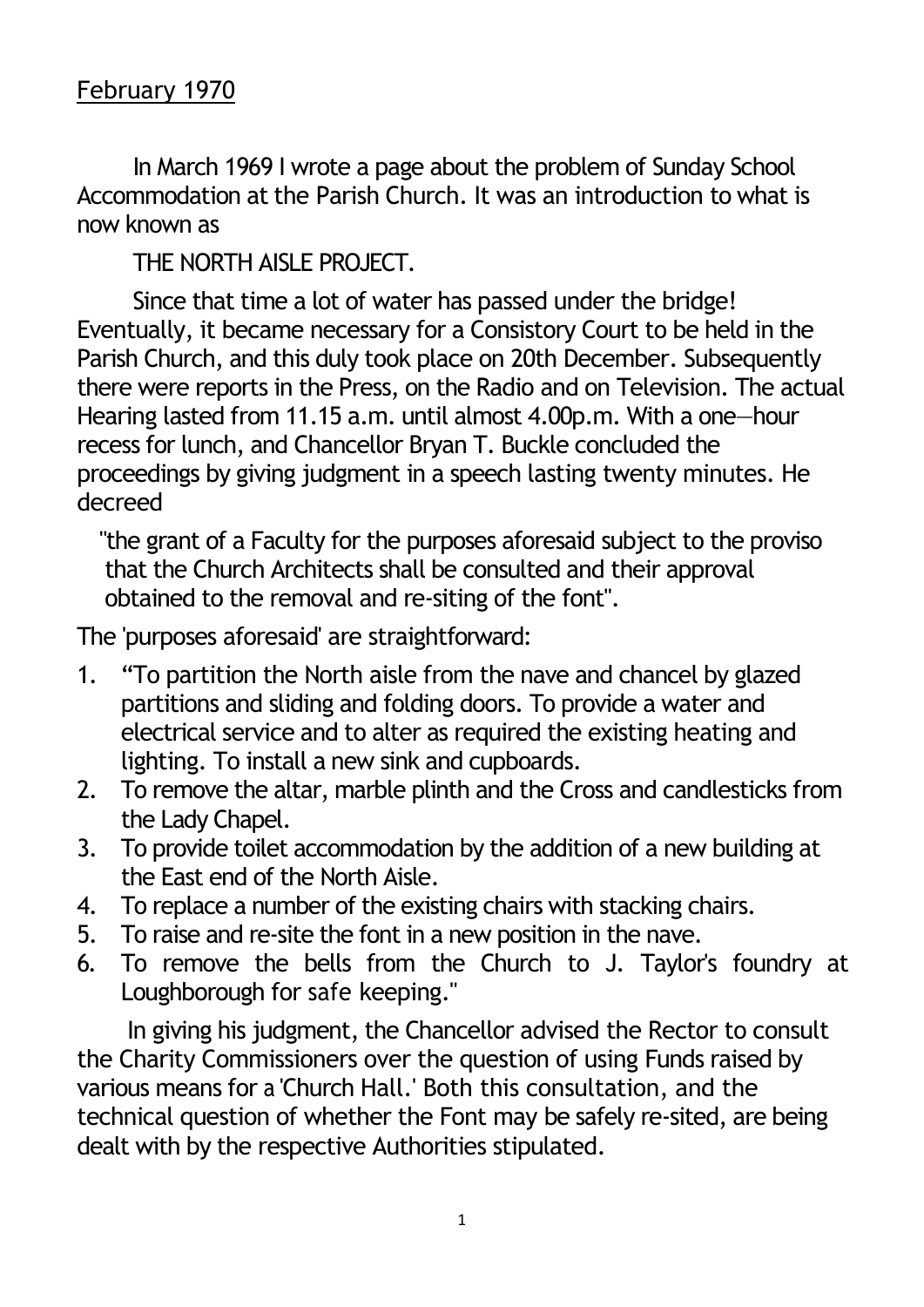In March 1969 I wrote a page about the problem of Sunday School Accommodation at the Parish Church. It was an introduction to what is now known as

THE NORTH AISLE PROJECT.

Since that time a lot of water has passed under the bridge! Eventually, it became necessary for a Consistory Court to be held in the Parish Church, and this duly took place on 20th December. Subsequently there were reports in the Press, on the Radio and on Television. The actual Hearing lasted from 11.15 a.m. until almost 4.00p.m. With a one—hour recess for lunch, and Chancellor Bryan T. Buckle concluded the proceedings by giving judgment in a speech lasting twenty minutes. He decreed

"the grant of a Faculty for the purposes aforesaid subject to the proviso that the Church Architects shall be consulted and their approval obtained to the removal and re-siting of the font".

The 'purposes aforesaid' are straightforward:

- 1. "To partition the North aisle from the nave and chancel by glazed partitions and sliding and folding doors. To provide a water and electrical service and to alter as required the existing heating and lighting. To install a new sink and cupboards.
- 2. To remove the altar, marble plinth and the Cross and candlesticks from the Lady Chapel.
- 3. To provide toilet accommodation by the addition of a new building at the East end of the North Aisle.
- 4. To replace a number of the existing chairs with stacking chairs.
- 5. To raise and re-site the font in a new position in the nave.
- 6. To remove the bells from the Church to J. Taylor's foundry at Loughborough for safe keeping."

In giving his judgment, the Chancellor advised the Rector to consult the Charity Commissioners over the question of using Funds raised by various means for a 'Church Hall.' Both this consultation, and the technical question of whether the Font may be safely re-sited, are being dealt with by the respective Authorities stipulated.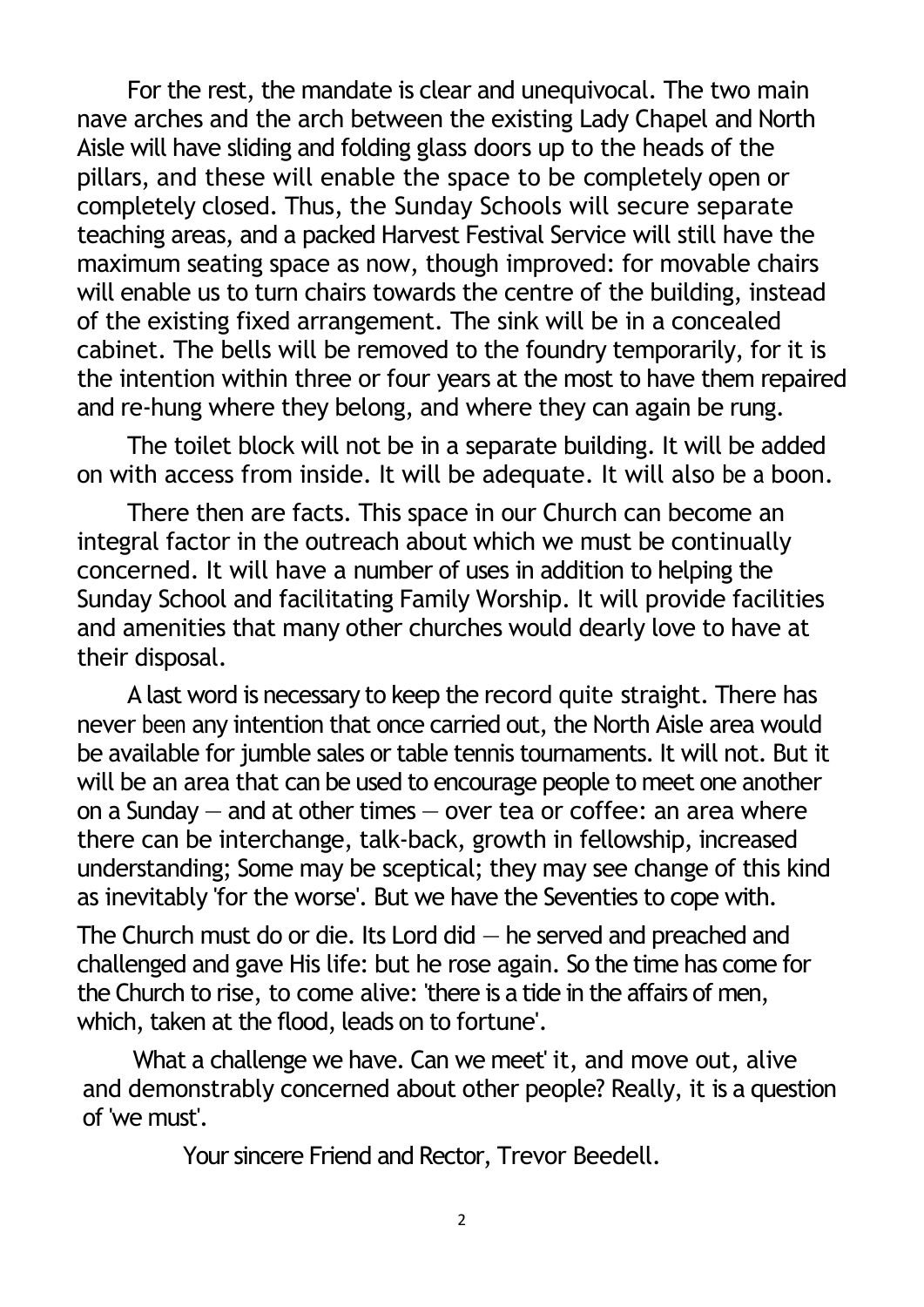For the rest, the mandate is clear and unequivocal. The two main nave arches and the arch between the existing Lady Chapel and North Aisle will have sliding and folding glass doors up to the heads of the pillars, and these will enable the space to be completely open or completely closed. Thus, the Sunday Schools will secure separate teaching areas, and a packed Harvest Festival Service will still have the maximum seating space as now, though improved: for movable chairs will enable us to turn chairs towards the centre of the building, instead of the existing fixed arrangement. The sink will be in a concealed cabinet. The bells will be removed to the foundry temporarily, for it is the intention within three or four years at the most to have them repaired and re-hung where they belong, and where they can again be rung.

The toilet block will not be in a separate building. It will be added on with access from inside. It will be adequate. It will also be a boon.

There then are facts. This space in our Church can become an integral factor in the outreach about which we must be continually concerned. It will have a number of uses in addition to helping the Sunday School and facilitating Family Worship. It will provide facilities and amenities that many other churches would dearly love to have at their disposal.

A last word is necessary to keep the record quite straight. There has never been any intention that once carried out, the North Aisle area would be available for jumble sales or table tennis tournaments. It will not. But it will be an area that can be used to encourage people to meet one another on a Sunday  $-$  and at other times  $-$  over tea or coffee: an area where there can be interchange, talk-back, growth in fellowship, increased understanding; Some may be sceptical; they may see change of this kind as inevitably 'for the worse'. But we have the Seventies to cope with.

The Church must do or die. Its Lord did  $-$  he served and preached and challenged and gave His life: but he rose again. So the time has come for the Church to rise, to come alive: 'there is a tide in the affairs of men, which, taken at the flood, leads on to fortune'.

What a challenge we have. Can we meet' it, and move out, alive and demonstrably concerned about other people? Really, it is a question of 'we must'.

Your sincere Friend and Rector, Trevor Beedell.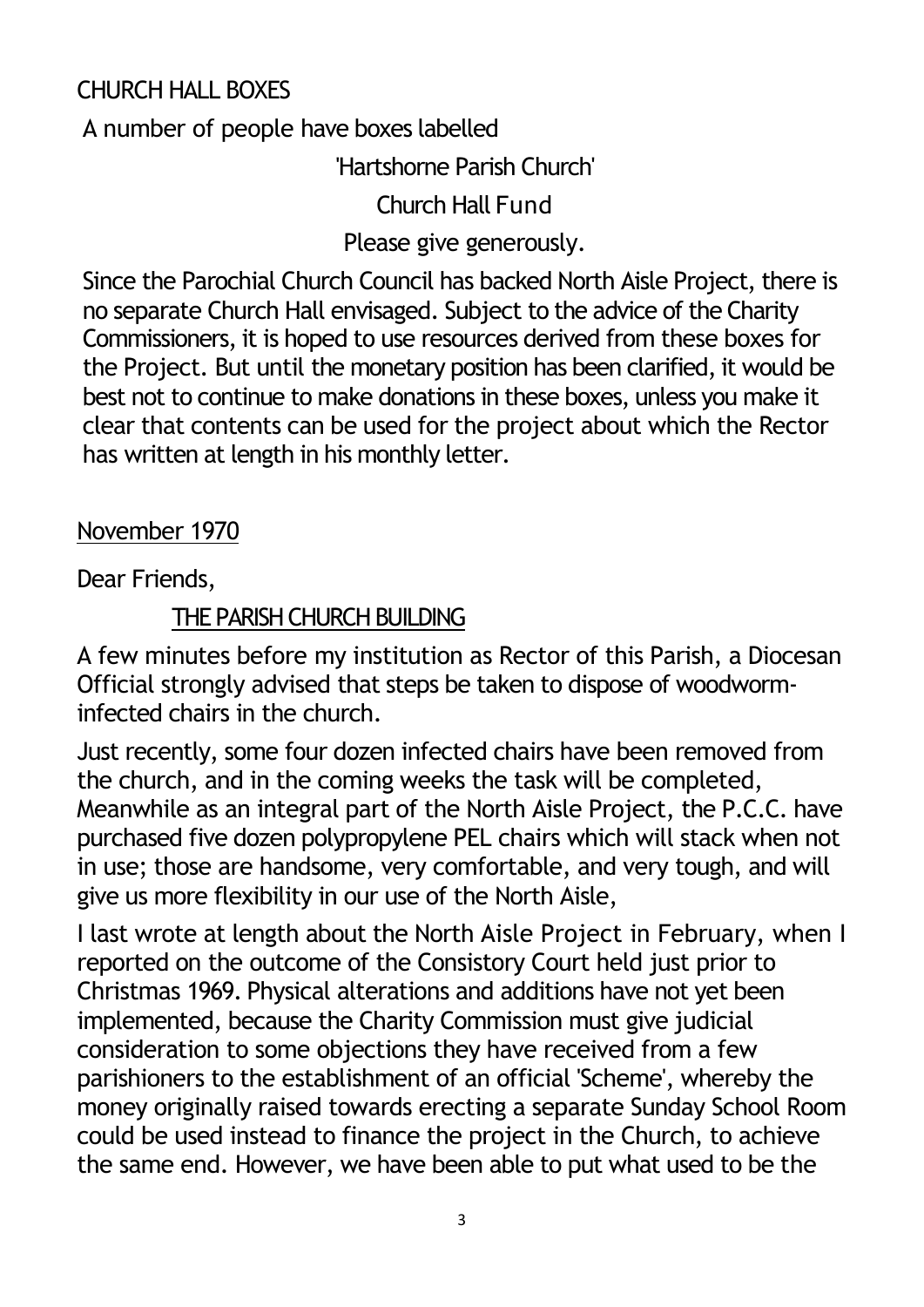### CHURCH HALL BOXES

A number of people have boxes labelled

'Hartshorne Parish Church'

Church Hall Fund

Please give generously.

Since the Parochial Church Council has backed North Aisle Project, there is no separate Church Hall envisaged. Subject to the advice of the Charity Commissioners, it is hoped to use resources derived from these boxes for the Project. But until the monetary position has been clarified, it would be best not to continue to make donations in these boxes, unless you make it clear that contents can be used for the project about which the Rector has written at length in his monthly letter.

#### November 1970

Dear Friends,

#### THE PARISH CHURCH BUILDING

A few minutes before my institution as Rector of this Parish, a Diocesan Official strongly advised that steps be taken to dispose of woodworminfected chairs in the church.

Just recently, some four dozen infected chairs have been removed from the church, and in the coming weeks the task will be completed, Meanwhile as an integral part of the North Aisle Project, the P.C.C. have purchased five dozen polypropylene PEL chairs which will stack when not in use; those are handsome, very comfortable, and very tough, and will give us more flexibility in our use of the North Aisle,

I last wrote at length about the North Aisle Project in February, when I reported on the outcome of the Consistory Court held just prior to Christmas 1969. Physical alterations and additions have not yet been implemented, because the Charity Commission must give judicial consideration to some objections they have received from a few parishioners to the establishment of an official 'Scheme', whereby the money originally raised towards erecting a separate Sunday School Room could be used instead to finance the project in the Church, to achieve the same end. However, we have been able to put what used to be the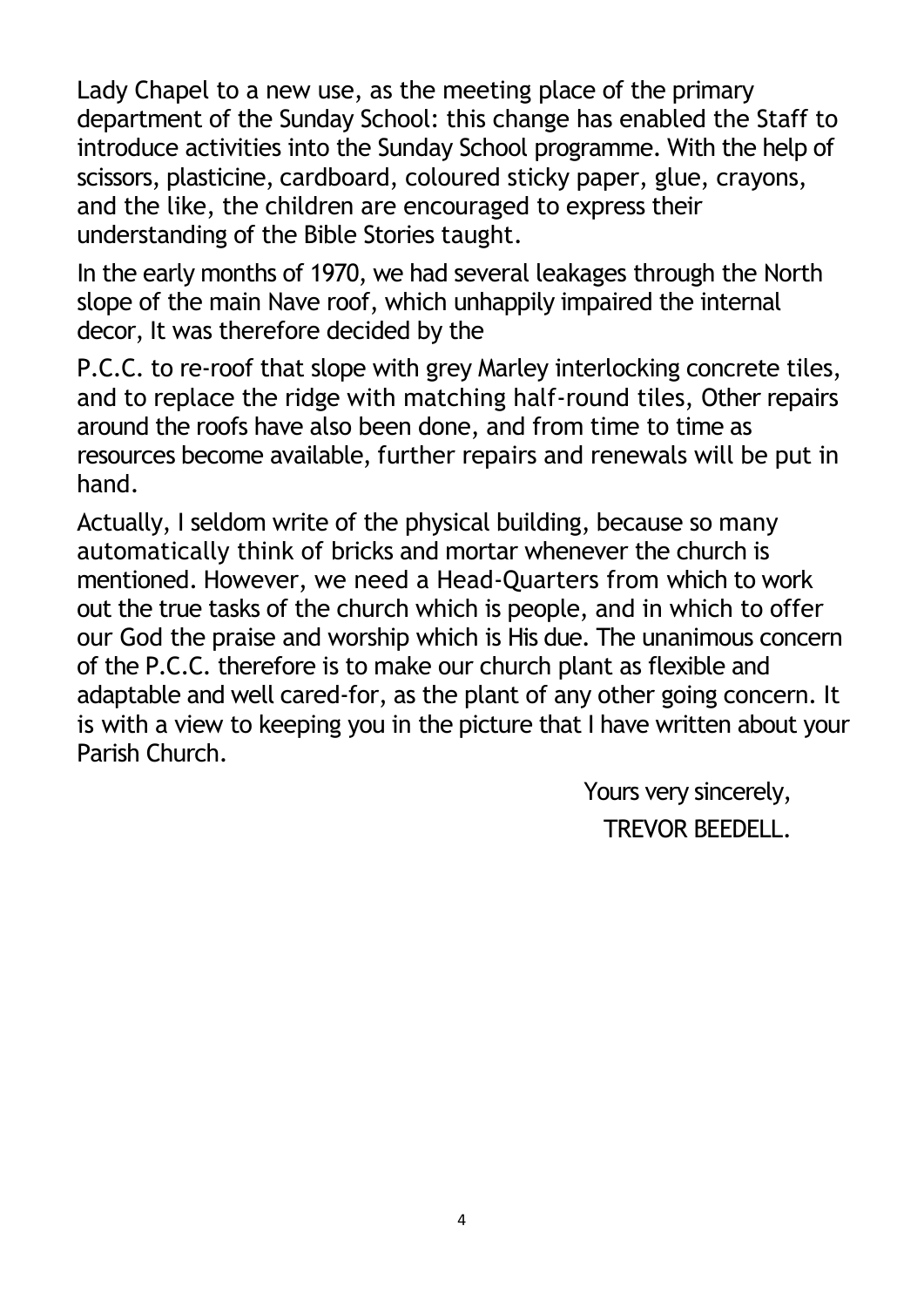Lady Chapel to a new use, as the meeting place of the primary department of the Sunday School: this change has enabled the Staff to introduce activities into the Sunday School programme. With the help of scissors, plasticine, cardboard, coloured sticky paper, glue, crayons, and the like, the children are encouraged to express their understanding of the Bible Stories taught.

In the early months of 1970, we had several leakages through the North slope of the main Nave roof, which unhappily impaired the internal decor, It was therefore decided by the

P.C.C. to re-roof that slope with grey Marley interlocking concrete tiles, and to replace the ridge with matching half-round tiles, Other repairs around the roofs have also been done, and from time to time as resources become available, further repairs and renewals will be put in hand.

Actually, I seldom write of the physical building, because so many automatically think of bricks and mortar whenever the church is mentioned. However, we need a Head-Quarters from which to work out the true tasks of the church which is people, and in which to offer our God the praise and worship which is His due. The unanimous concern of the P.C.C. therefore is to make our church plant as flexible and adaptable and well cared-for, as the plant of any other going concern. It is with a view to keeping you in the picture that I have written about your Parish Church.

> Yours very sincerely, TREVOR BEEDELL.